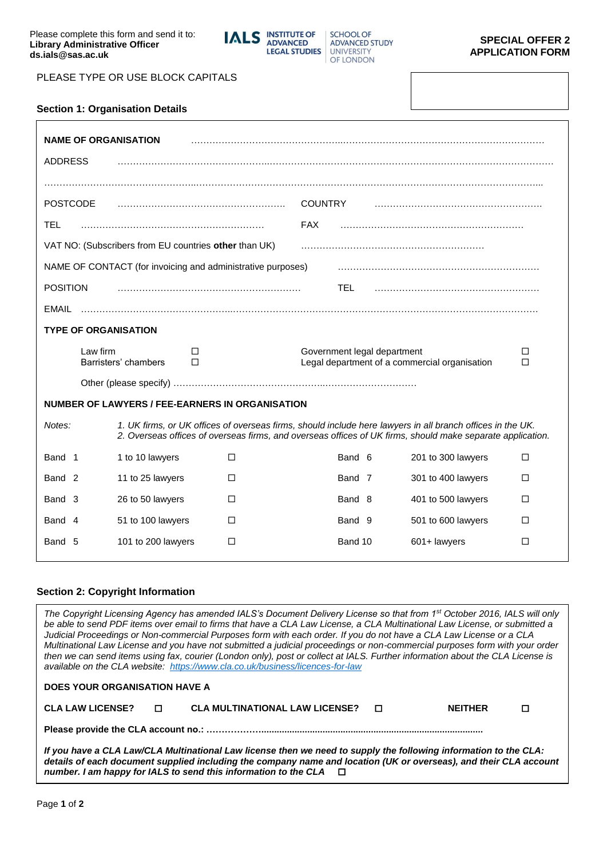**IALS** INSTITUTE OF **SCHOOL OF ADVANCED ADVANCED STUDY LEGAL STUDIES** UNIVERSITY OF LONDON

PLEASE TYPE OR USE BLOCK CAPITALS

**Section 1: Organisation Details**

| <b>NAME OF ORGANISATION</b><br><b>ADDRESS</b> |                                                                                                            |                |                             |                                                                                                            |        |  |
|-----------------------------------------------|------------------------------------------------------------------------------------------------------------|----------------|-----------------------------|------------------------------------------------------------------------------------------------------------|--------|--|
|                                               |                                                                                                            |                |                             |                                                                                                            |        |  |
| <b>POSTCODE</b>                               |                                                                                                            | <b>COUNTRY</b> |                             |                                                                                                            |        |  |
| TEL                                           |                                                                                                            | <b>FAX</b>     |                             |                                                                                                            |        |  |
|                                               | VAT NO: (Subscribers from EU countries other than UK)                                                      |                |                             |                                                                                                            |        |  |
|                                               | NAME OF CONTACT (for invoicing and administrative purposes)                                                |                |                             |                                                                                                            |        |  |
| <b>POSITION</b>                               |                                                                                                            |                | TEL.                        |                                                                                                            |        |  |
| EMAIL                                         |                                                                                                            |                |                             |                                                                                                            |        |  |
| <b>TYPE OF ORGANISATION</b>                   |                                                                                                            |                |                             |                                                                                                            |        |  |
|                                               |                                                                                                            |                |                             |                                                                                                            |        |  |
| Law firm                                      | □<br>Barristers' chambers<br>п                                                                             |                | Government legal department | Legal department of a commercial organisation                                                              | □<br>п |  |
|                                               |                                                                                                            |                |                             |                                                                                                            |        |  |
|                                               | <b>NUMBER OF LAWYERS / FEE-EARNERS IN ORGANISATION</b>                                                     |                |                             |                                                                                                            |        |  |
| Notes:                                        | 2. Overseas offices of overseas firms, and overseas offices of UK firms, should make separate application. |                |                             | 1. UK firms, or UK offices of overseas firms, should include here lawyers in all branch offices in the UK. |        |  |
| Band 1                                        | 1 to 10 lawyers                                                                                            | □              | Band 6                      | 201 to 300 lawyers                                                                                         | □      |  |
| Band <sub>2</sub>                             | 11 to 25 lawyers                                                                                           | □              | Band 7                      | 301 to 400 lawyers                                                                                         | □      |  |
| Band 3                                        | 26 to 50 lawyers                                                                                           | П              | Band 8                      | 401 to 500 lawyers                                                                                         | □      |  |
| Band 4                                        | 51 to 100 lawyers                                                                                          | □              | Band 9                      | 501 to 600 lawyers                                                                                         | □      |  |

## **Section 2: Copyright Information**

**DOES YOUR ORGANISATION HAVE A** 

*The Copyright Licensing Agency has amended IALS's Document Delivery License so that from 1st October 2016, IALS will only be able to send PDF items over email to firms that have a CLA Law License, a CLA Multinational Law License, or submitted a Judicial Proceedings or Non-commercial Purposes form with each order. If you do not have a CLA Law License or a CLA Multinational Law License and you have not submitted a judicial proceedings or non-commercial purposes form with your order then we can send items using fax, courier (London only), post or collect at IALS. Further information about the CLA License is available on the CLA website: <https://www.cla.co.uk/business/licences-for-law>*

| <b>CLA LAW LICENSE?</b> |  | <b>CLA MULTINATIONAL LAW LICENSE?</b> |  | <b>NFITHFR</b> |  |  |
|-------------------------|--|---------------------------------------|--|----------------|--|--|
|                         |  |                                       |  |                |  |  |

| If you have a CLA Law/CLA Multinational Law license then we need to supply the following information to the CLA:  |  |
|-------------------------------------------------------------------------------------------------------------------|--|
| details of each document supplied including the company name and location (UK or overseas), and their CLA account |  |
| number. I am happy for IALS to send this information to the CLA $\Box$                                            |  |